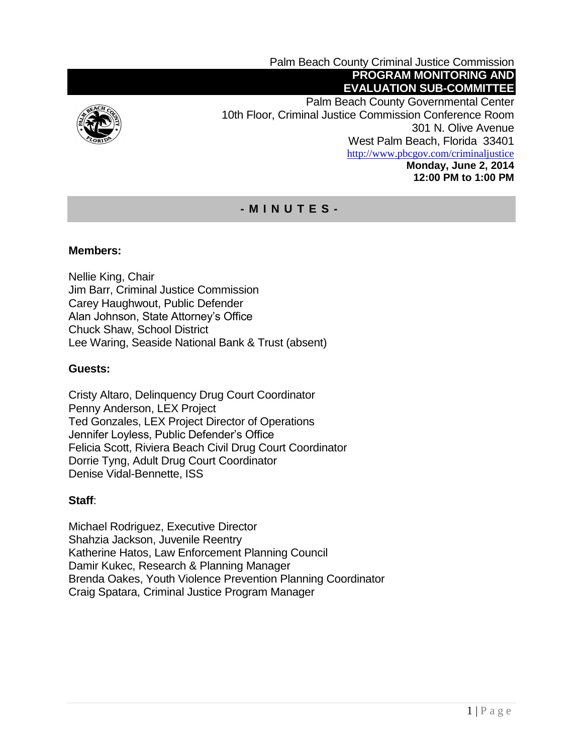

Palm Beach County Criminal Justice Commission **PROGRAM MONITORING AND EVALUATION SUB-COMMITTEE** Palm Beach County Governmental Center 10th Floor, Criminal Justice Commission Conference Room 301 N. Olive Avenue West Palm Beach, Florida 33401 <http://www.pbcgov.com/criminaljustice> **Monday, June 2, 2014 12:00 PM to 1:00 PM**

# **- M I N U T E S -**

### **Members:**

Nellie King, Chair Jim Barr, Criminal Justice Commission Carey Haughwout, Public Defender Alan Johnson, State Attorney's Office Chuck Shaw, School District Lee Waring, Seaside National Bank & Trust (absent)

### **Guests:**

Cristy Altaro, Delinquency Drug Court Coordinator Penny Anderson, LEX Project Ted Gonzales, LEX Project Director of Operations Jennifer Loyless, Public Defender's Office Felicia Scott, Riviera Beach Civil Drug Court Coordinator Dorrie Tyng, Adult Drug Court Coordinator Denise Vidal-Bennette, ISS

#### **Staff**:

Michael Rodriguez, Executive Director Shahzia Jackson, Juvenile Reentry Katherine Hatos, Law Enforcement Planning Council Damir Kukec, Research & Planning Manager Brenda Oakes, Youth Violence Prevention Planning Coordinator Craig Spatara, Criminal Justice Program Manager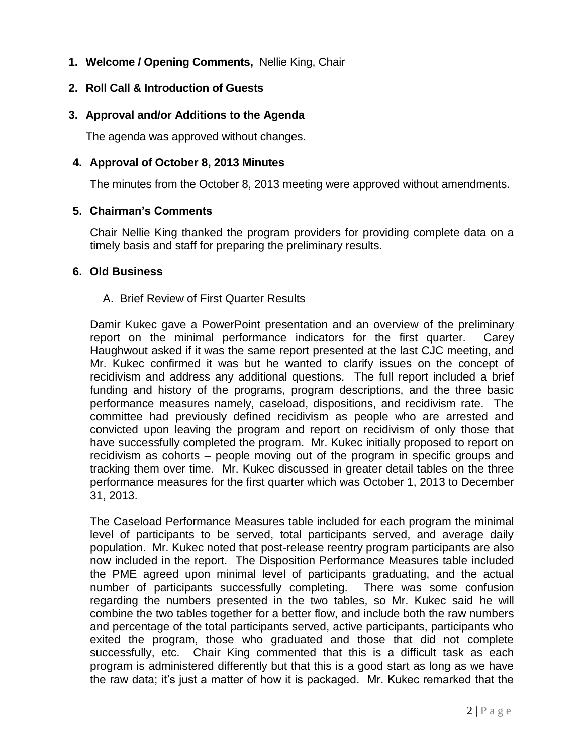**1. Welcome / Opening Comments,** Nellie King, Chair

### **2. Roll Call & Introduction of Guests**

### **3. Approval and/or Additions to the Agenda**

The agenda was approved without changes.

### **4. Approval of October 8, 2013 Minutes**

The minutes from the October 8, 2013 meeting were approved without amendments.

### **5. Chairman's Comments**

Chair Nellie King thanked the program providers for providing complete data on a timely basis and staff for preparing the preliminary results.

### **6. Old Business**

### A. Brief Review of First Quarter Results

Damir Kukec gave a PowerPoint presentation and an overview of the preliminary report on the minimal performance indicators for the first quarter. Carey Haughwout asked if it was the same report presented at the last CJC meeting, and Mr. Kukec confirmed it was but he wanted to clarify issues on the concept of recidivism and address any additional questions. The full report included a brief funding and history of the programs, program descriptions, and the three basic performance measures namely, caseload, dispositions, and recidivism rate. The committee had previously defined recidivism as people who are arrested and convicted upon leaving the program and report on recidivism of only those that have successfully completed the program. Mr. Kukec initially proposed to report on recidivism as cohorts – people moving out of the program in specific groups and tracking them over time. Mr. Kukec discussed in greater detail tables on the three performance measures for the first quarter which was October 1, 2013 to December 31, 2013.

The Caseload Performance Measures table included for each program the minimal level of participants to be served, total participants served, and average daily population. Mr. Kukec noted that post-release reentry program participants are also now included in the report. The Disposition Performance Measures table included the PME agreed upon minimal level of participants graduating, and the actual number of participants successfully completing. There was some confusion regarding the numbers presented in the two tables, so Mr. Kukec said he will combine the two tables together for a better flow, and include both the raw numbers and percentage of the total participants served, active participants, participants who exited the program, those who graduated and those that did not complete successfully, etc. Chair King commented that this is a difficult task as each program is administered differently but that this is a good start as long as we have the raw data; it's just a matter of how it is packaged. Mr. Kukec remarked that the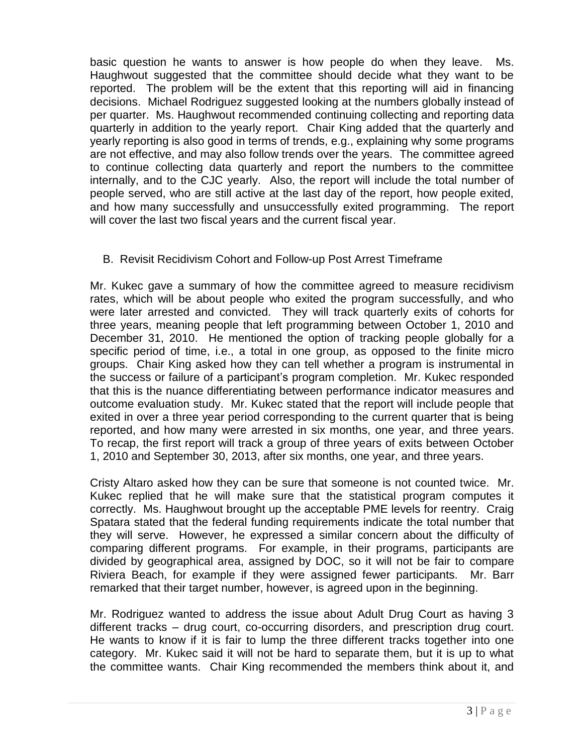basic question he wants to answer is how people do when they leave. Ms. Haughwout suggested that the committee should decide what they want to be reported. The problem will be the extent that this reporting will aid in financing decisions. Michael Rodriguez suggested looking at the numbers globally instead of per quarter. Ms. Haughwout recommended continuing collecting and reporting data quarterly in addition to the yearly report. Chair King added that the quarterly and yearly reporting is also good in terms of trends, e.g., explaining why some programs are not effective, and may also follow trends over the years. The committee agreed to continue collecting data quarterly and report the numbers to the committee internally, and to the CJC yearly. Also, the report will include the total number of people served, who are still active at the last day of the report, how people exited, and how many successfully and unsuccessfully exited programming. The report will cover the last two fiscal years and the current fiscal year.

## B. Revisit Recidivism Cohort and Follow-up Post Arrest Timeframe

Mr. Kukec gave a summary of how the committee agreed to measure recidivism rates, which will be about people who exited the program successfully, and who were later arrested and convicted. They will track quarterly exits of cohorts for three years, meaning people that left programming between October 1, 2010 and December 31, 2010. He mentioned the option of tracking people globally for a specific period of time, i.e., a total in one group, as opposed to the finite micro groups. Chair King asked how they can tell whether a program is instrumental in the success or failure of a participant's program completion. Mr. Kukec responded that this is the nuance differentiating between performance indicator measures and outcome evaluation study. Mr. Kukec stated that the report will include people that exited in over a three year period corresponding to the current quarter that is being reported, and how many were arrested in six months, one year, and three years. To recap, the first report will track a group of three years of exits between October 1, 2010 and September 30, 2013, after six months, one year, and three years.

Cristy Altaro asked how they can be sure that someone is not counted twice. Mr. Kukec replied that he will make sure that the statistical program computes it correctly. Ms. Haughwout brought up the acceptable PME levels for reentry. Craig Spatara stated that the federal funding requirements indicate the total number that they will serve. However, he expressed a similar concern about the difficulty of comparing different programs. For example, in their programs, participants are divided by geographical area, assigned by DOC, so it will not be fair to compare Riviera Beach, for example if they were assigned fewer participants. Mr. Barr remarked that their target number, however, is agreed upon in the beginning.

Mr. Rodriguez wanted to address the issue about Adult Drug Court as having 3 different tracks – drug court, co-occurring disorders, and prescription drug court. He wants to know if it is fair to lump the three different tracks together into one category. Mr. Kukec said it will not be hard to separate them, but it is up to what the committee wants. Chair King recommended the members think about it, and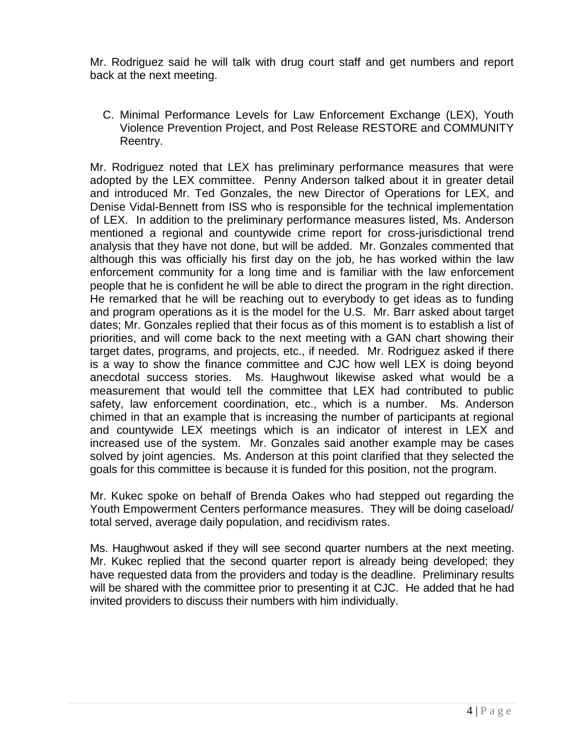Mr. Rodriguez said he will talk with drug court staff and get numbers and report back at the next meeting.

C. Minimal Performance Levels for Law Enforcement Exchange (LEX), Youth Violence Prevention Project, and Post Release RESTORE and COMMUNITY Reentry.

Mr. Rodriguez noted that LEX has preliminary performance measures that were adopted by the LEX committee. Penny Anderson talked about it in greater detail and introduced Mr. Ted Gonzales, the new Director of Operations for LEX, and Denise Vidal-Bennett from ISS who is responsible for the technical implementation of LEX. In addition to the preliminary performance measures listed, Ms. Anderson mentioned a regional and countywide crime report for cross-jurisdictional trend analysis that they have not done, but will be added. Mr. Gonzales commented that although this was officially his first day on the job, he has worked within the law enforcement community for a long time and is familiar with the law enforcement people that he is confident he will be able to direct the program in the right direction. He remarked that he will be reaching out to everybody to get ideas as to funding and program operations as it is the model for the U.S. Mr. Barr asked about target dates; Mr. Gonzales replied that their focus as of this moment is to establish a list of priorities, and will come back to the next meeting with a GAN chart showing their target dates, programs, and projects, etc., if needed. Mr. Rodriguez asked if there is a way to show the finance committee and CJC how well LEX is doing beyond anecdotal success stories. Ms. Haughwout likewise asked what would be a measurement that would tell the committee that LEX had contributed to public safety, law enforcement coordination, etc., which is a number. Ms. Anderson chimed in that an example that is increasing the number of participants at regional and countywide LEX meetings which is an indicator of interest in LEX and increased use of the system. Mr. Gonzales said another example may be cases solved by joint agencies. Ms. Anderson at this point clarified that they selected the goals for this committee is because it is funded for this position, not the program.

Mr. Kukec spoke on behalf of Brenda Oakes who had stepped out regarding the Youth Empowerment Centers performance measures. They will be doing caseload/ total served, average daily population, and recidivism rates.

Ms. Haughwout asked if they will see second quarter numbers at the next meeting. Mr. Kukec replied that the second quarter report is already being developed; they have requested data from the providers and today is the deadline. Preliminary results will be shared with the committee prior to presenting it at CJC. He added that he had invited providers to discuss their numbers with him individually.